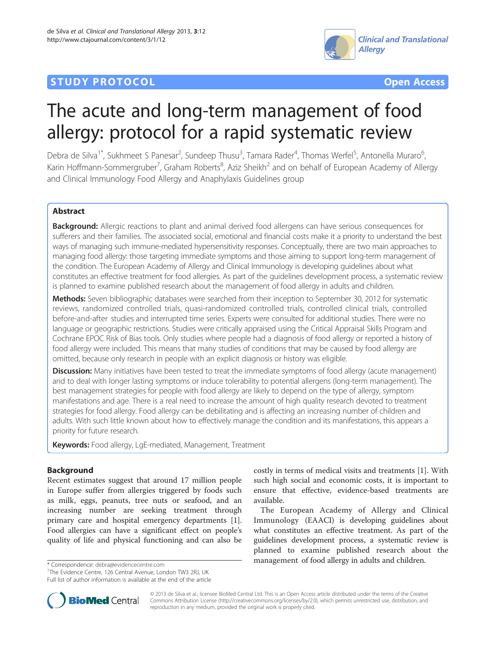# **STUDY PROTOCOL CONSUMING THE CONSUMING TO A RESISTING THE CONSUMING TO A RESISTING TO A RESISTING TO A RESISTING TO A RESISTING TO A RESISTING TO A RESISTING TO A RESISTING TO A RESISTING TO A RESISTING TO A RESISTING T**



# The acute and long-term management of food allergy: protocol for a rapid systematic review

Debra de Silva<sup>1\*</sup>, Sukhmeet S Panesar<sup>2</sup>, Sundeep Thusu<sup>3</sup>, Tamara Rader<sup>4</sup>, Thomas Werfel<sup>5</sup>, Antonella Muraro<sup>6</sup> , Karin Hoffmann-Sommergruber<sup>7</sup>, Graham Roberts<sup>8</sup>, Aziz Sheikh<sup>2</sup> and on behalf of European Academy of Allergy and Clinical Immunology Food Allergy and Anaphylaxis Guidelines group

# Abstract

**Background:** Allergic reactions to plant and animal derived food allergens can have serious consequences for sufferers and their families. The associated social, emotional and financial costs make it a priority to understand the best ways of managing such immune-mediated hypersensitivity responses. Conceptually, there are two main approaches to managing food allergy: those targeting immediate symptoms and those aiming to support long-term management of the condition. The European Academy of Allergy and Clinical Immunology is developing guidelines about what constitutes an effective treatment for food allergies. As part of the guidelines development process, a systematic review is planned to examine published research about the management of food allergy in adults and children.

Methods: Seven bibliographic databases were searched from their inception to September 30, 2012 for systematic reviews, randomized controlled trials, quasi-randomized controlled trials, controlled clinical trials, controlled before-and-after studies and interrupted time series. Experts were consulted for additional studies. There were no language or geographic restrictions. Studies were critically appraised using the Critical Appraisal Skills Program and Cochrane EPOC Risk of Bias tools. Only studies where people had a diagnosis of food allergy or reported a history of food allergy were included. This means that many studies of conditions that may be caused by food allergy are omitted, because only research in people with an explicit diagnosis or history was eligible.

**Discussion:** Many initiatives have been tested to treat the immediate symptoms of food allergy (acute management) and to deal with longer lasting symptoms or induce tolerability to potential allergens (long-term management). The best management strategies for people with food allergy are likely to depend on the type of allergy, symptom manifestations and age. There is a real need to increase the amount of high quality research devoted to treatment strategies for food allergy. Food allergy can be debilitating and is affecting an increasing number of children and adults. With such little known about how to effectively manage the condition and its manifestations, this appears a priority for future research.

Keywords: Food allergy, LgE-mediated, Management, Treatment

# Background

Recent estimates suggest that around 17 million people in Europe suffer from allergies triggered by foods such as milk, eggs, peanuts, tree nuts or seafood, and an increasing number are seeking treatment through primary care and hospital emergency departments [\[1](#page-4-0)]. Food allergies can have a significant effect on people's quality of life and physical functioning and can also be

costly in terms of medical visits and treatments [[1](#page-4-0)]. With such high social and economic costs, it is important to ensure that effective, evidence-based treatments are available.

The European Academy of Allergy and Clinical Immunology (EAACI) is developing guidelines about what constitutes an effective treatment. As part of the guidelines development process, a systematic review is planned to examine published research about the \* Correspondence: [debra@evidencecentre.com](mailto:debra@evidencecentre.com) **1990** management of food allergy in adults and children.



© 2013 de Silva et al.; licensee BioMed Central Ltd. This is an Open Access article distributed under the terms of the Creative Commons Attribution License [\(http://creativecommons.org/licenses/by/2.0\)](http://creativecommons.org/licenses/by/2.0), which permits unrestricted use, distribution, and reproduction in any medium, provided the original work is properly cited.

<sup>&</sup>lt;sup>1</sup>The Evidence Centre, 126 Central Avenue, London TW3 2RJ, UK Full list of author information is available at the end of the article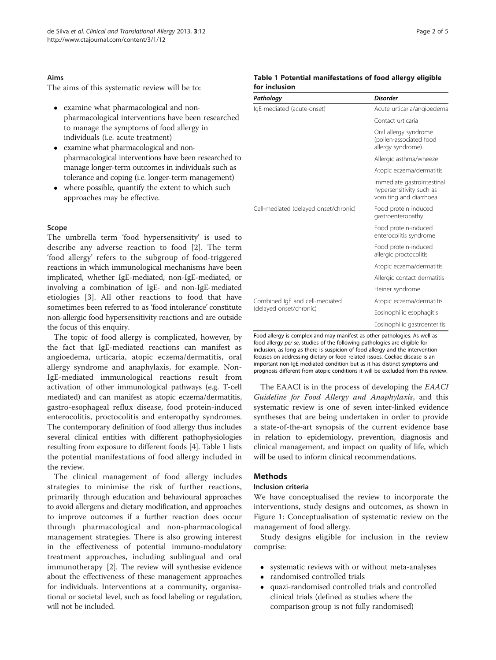#### Aims

The aims of this systematic review will be to:

- examine what pharmacological and nonpharmacological interventions have been researched to manage the symptoms of food allergy in individuals (i.e. acute treatment)
- examine what pharmacological and nonpharmacological interventions have been researched to manage longer-term outcomes in individuals such as tolerance and coping (i.e. longer-term management)
- where possible, quantify the extent to which such approaches may be effective.

#### Scope

The umbrella term 'food hypersensitivity' is used to describe any adverse reaction to food [\[2](#page-4-0)]. The term 'food allergy' refers to the subgroup of food-triggered reactions in which immunological mechanisms have been implicated, whether IgE-mediated, non-IgE-mediated, or involving a combination of IgE- and non-IgE-mediated etiologies [[3\]](#page-4-0). All other reactions to food that have sometimes been referred to as 'food intolerance' constitute non-allergic food hypersensitivity reactions and are outside the focus of this enquiry.

The topic of food allergy is complicated, however, by the fact that IgE-mediated reactions can manifest as angioedema, urticaria, atopic eczema/dermatitis, oral allergy syndrome and anaphylaxis, for example. Non-IgE-mediated immunological reactions result from activation of other immunological pathways (e.g. T-cell mediated) and can manifest as atopic eczema/dermatitis, gastro-esophageal reflux disease, food protein-induced enterocolitis, proctocolitis and enteropathy syndromes. The contemporary definition of food allergy thus includes several clinical entities with different pathophysiologies resulting from exposure to different foods [\[4](#page-4-0)]. Table 1 lists the potential manifestations of food allergy included in the review.

The clinical management of food allergy includes strategies to minimise the risk of further reactions, primarily through education and behavioural approaches to avoid allergens and dietary modification, and approaches to improve outcomes if a further reaction does occur through pharmacological and non-pharmacological management strategies. There is also growing interest in the effectiveness of potential immuno-modulatory treatment approaches, including sublingual and oral immunotherapy [\[2](#page-4-0)]. The review will synthesise evidence about the effectiveness of these management approaches for individuals. Interventions at a community, organisational or societal level, such as food labeling or regulation, will not be included.

# Table 1 Potential manifestations of food allergy eligible for inclusion

| Pathology                                                 | <b>Disorder</b>                                                                  |
|-----------------------------------------------------------|----------------------------------------------------------------------------------|
| IgE-mediated (acute-onset)                                | Acute urticaria/angioedema                                                       |
|                                                           | Contact urticaria                                                                |
|                                                           | Oral allergy syndrome<br>(pollen-associated food<br>allergy syndrome)            |
|                                                           | Allergic asthma/wheeze                                                           |
|                                                           | Atopic eczema/dermatitis                                                         |
|                                                           | Immediate gastrointestinal<br>hypersensitivity such as<br>vomiting and diarrhoea |
| Cell-mediated (delayed onset/chronic)                     | Food protein induced<br>gastroenteropathy                                        |
|                                                           | Food protein-induced<br>enterocolitis syndrome                                   |
|                                                           | Food protein-induced<br>allergic proctocolitis                                   |
|                                                           | Atopic eczema/dermatitis                                                         |
|                                                           | Allergic contact dermatitis                                                      |
|                                                           | Heiner syndrome                                                                  |
| Combined IgE and cell-mediated<br>(delayed onset/chronic) | Atopic eczema/dermatitis                                                         |
|                                                           | Eosinophilic esophagitis                                                         |
|                                                           | Eosinophilic gastroenteritis                                                     |

Food allergy is complex and may manifest as other pathologies. As well as food allergy per se, studies of the following pathologies are eligible for inclusion, as long as there is suspicion of food allergy and the intervention focuses on addressing dietary or food-related issues. Coeliac disease is an important non-IgE mediated condition but as it has distinct symptoms and prognosis different from atopic conditions it will be excluded from this review.

The EAACI is in the process of developing the EAACI Guideline for Food Allergy and Anaphylaxis, and this systematic review is one of seven inter-linked evidence syntheses that are being undertaken in order to provide a state-of-the-art synopsis of the current evidence base in relation to epidemiology, prevention, diagnosis and clinical management, and impact on quality of life, which will be used to inform clinical recommendations.

#### Methods

#### Inclusion criteria

We have conceptualised the review to incorporate the interventions, study designs and outcomes, as shown in Figure [1](#page-2-0): Conceptualisation of systematic review on the management of food allergy.

Study designs eligible for inclusion in the review comprise:

- systematic reviews with or without meta-analyses
- randomised controlled trials
- quazi-randomised controlled trials and controlled clinical trials (defined as studies where the comparison group is not fully randomised)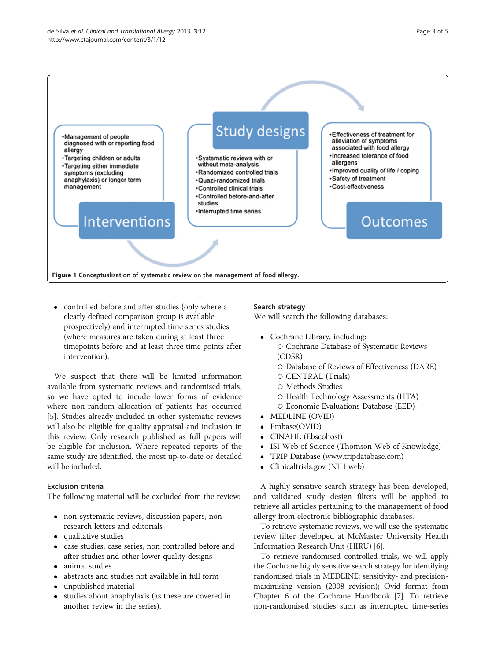<span id="page-2-0"></span>

• controlled before and after studies (only where a clearly defined comparison group is available prospectively) and interrupted time series studies (where measures are taken during at least three timepoints before and at least three time points after intervention).

We suspect that there will be limited information available from systematic reviews and randomised trials, so we have opted to incude lower forms of evidence where non-random allocation of patients has occurred [[5\]](#page-4-0). Studies already included in other systematic reviews will also be eligible for quality appraisal and inclusion in this review. Only research published as full papers will be eligible for inclusion. Where repeated reports of the same study are identified, the most up-to-date or detailed will be included.

# Exclusion criteria

The following material will be excluded from the review:

- non-systematic reviews, discussion papers, nonresearch letters and editorials
- qualitative studies
- case studies, case series, non controlled before and after studies and other lower quality designs
- animal studies
- abstracts and studies not available in full form
- unpublished material
- studies about anaphylaxis (as these are covered in another review in the series).

# Search strategy

We will search the following databases:

- Cochrane Library, including:
	- Cochrane Database of Systematic Reviews (CDSR)
		- Database of Reviews of Effectiveness (DARE)
		- CENTRAL (Trials)
		- Methods Studies
		- Health Technology Assessments (HTA)
		- Economic Evaluations Database (EED)
- MEDLINE (OVID)
- Embase(OVID)
- CINAHL (Ebscohost)
- ISI Web of Science (Thomson Web of Knowledge)
- TRIP Database ([www.tripdatabase.com\)](http://www.tripdatabase.com/)<br>• Clinicaltrials.gov (NIH web)
- Clinicaltrials.gov (NIH web)

A highly sensitive search strategy has been developed, and validated study design filters will be applied to retrieve all articles pertaining to the management of food allergy from electronic bibliographic databases.

To retrieve systematic reviews, we will use the systematic review filter developed at McMaster University Health Information Research Unit (HIRU) [\[6\]](#page-4-0).

To retrieve randomised controlled trials, we will apply the Cochrane highly sensitive search strategy for identifying randomised trials in MEDLINE: sensitivity- and precisionmaximising version (2008 revision); Ovid format from Chapter 6 of the Cochrane Handbook [[7](#page-4-0)]. To retrieve non-randomised studies such as interrupted time-series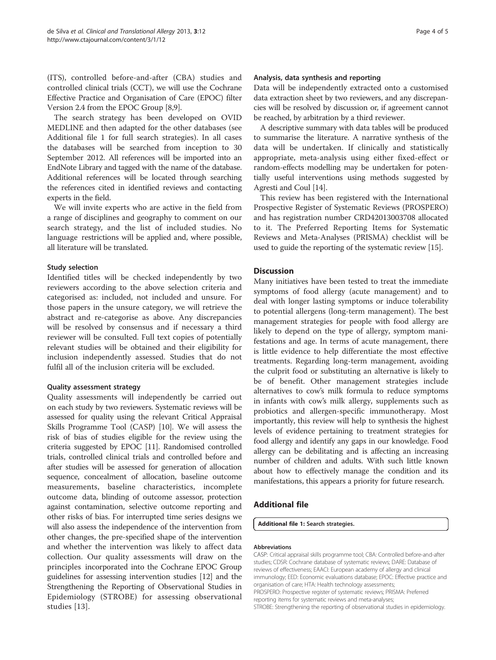(ITS), controlled before-and-after (CBA) studies and controlled clinical trials (CCT), we will use the Cochrane Effective Practice and Organisation of Care (EPOC) filter Version 2.4 from the EPOC Group [[8](#page-4-0),[9](#page-4-0)].

The search strategy has been developed on OVID MEDLINE and then adapted for the other databases (see Additional file 1 for full search strategies). In all cases the databases will be searched from inception to 30 September 2012. All references will be imported into an EndNote Library and tagged with the name of the database. Additional references will be located through searching the references cited in identified reviews and contacting experts in the field.

We will invite experts who are active in the field from a range of disciplines and geography to comment on our search strategy, and the list of included studies. No language restrictions will be applied and, where possible, all literature will be translated.

# Study selection

Identified titles will be checked independently by two reviewers according to the above selection criteria and categorised as: included, not included and unsure. For those papers in the unsure category, we will retrieve the abstract and re-categorise as above. Any discrepancies will be resolved by consensus and if necessary a third reviewer will be consulted. Full text copies of potentially relevant studies will be obtained and their eligibility for inclusion independently assessed. Studies that do not fulfil all of the inclusion criteria will be excluded.

#### Quality assessment strategy

Quality assessments will independently be carried out on each study by two reviewers. Systematic reviews will be assessed for quality using the relevant Critical Appraisal Skills Programme Tool (CASP) [[10](#page-4-0)]. We will assess the risk of bias of studies eligible for the review using the criteria suggested by EPOC [\[11\]](#page-4-0). Randomised controlled trials, controlled clinical trials and controlled before and after studies will be assessed for generation of allocation sequence, concealment of allocation, baseline outcome measurements, baseline characteristics, incomplete outcome data, blinding of outcome assessor, protection against contamination, selective outcome reporting and other risks of bias. For interrupted time series designs we will also assess the independence of the intervention from other changes, the pre-specified shape of the intervention and whether the intervention was likely to affect data collection. Our quality assessments will draw on the principles incorporated into the Cochrane EPOC Group guidelines for assessing intervention studies [[12](#page-4-0)] and the Strengthening the Reporting of Observational Studies in Epidemiology (STROBE) for assessing observational studies [\[13](#page-4-0)].

#### Analysis, data synthesis and reporting

Data will be independently extracted onto a customised data extraction sheet by two reviewers, and any discrepancies will be resolved by discussion or, if agreement cannot be reached, by arbitration by a third reviewer.

A descriptive summary with data tables will be produced to summarise the literature. A narrative synthesis of the data will be undertaken. If clinically and statistically appropriate, meta-analysis using either fixed-effect or random-effects modelling may be undertaken for potentially useful interventions using methods suggested by Agresti and Coul [\[14](#page-4-0)].

This review has been registered with the International Prospective Register of Systematic Reviews (PROSPERO) and has registration number CRD42013003708 allocated to it. The Preferred Reporting Items for Systematic Reviews and Meta-Analyses (PRISMA) checklist will be used to guide the reporting of the systematic review [\[15\]](#page-4-0).

# **Discussion**

Many initiatives have been tested to treat the immediate symptoms of food allergy (acute management) and to deal with longer lasting symptoms or induce tolerability to potential allergens (long-term management). The best management strategies for people with food allergy are likely to depend on the type of allergy, symptom manifestations and age. In terms of acute management, there is little evidence to help differentiate the most effective treatments. Regarding long-term management, avoiding the culprit food or substituting an alternative is likely to be of benefit. Other management strategies include alternatives to cow's milk formula to reduce symptoms in infants with cow's milk allergy, supplements such as probiotics and allergen-specific immunotherapy. Most importantly, this review will help to synthesis the highest levels of evidence pertaining to treatment strategies for food allergy and identify any gaps in our knowledge. Food allergy can be debilitating and is affecting an increasing number of children and adults. With such little known about how to effectively manage the condition and its manifestations, this appears a priority for future research.

# Additional file

#### [Additional file 1:](http://www.biomedcentral.com/content/supplementary/2045-7022-3-12-S1.docx) Search strategies.

#### Abbreviations

CASP: Critical appraisal skills programme tool; CBA: Controlled before-and-after studies; CDSR: Cochrane database of systematic reviews; DARE: Database of reviews of effectiveness; EAACI: European academy of allergy and clinical immunology; EED: Economic evaluations database; EPOC: Effective practice and organisation of care; HTA: Health technology assessments; PROSPERO: Prospective register of systematic reviews; PRISMA: Preferred reporting items for systematic reviews and meta-analyses; STROBE: Strengthening the reporting of observational studies in epidemiology.